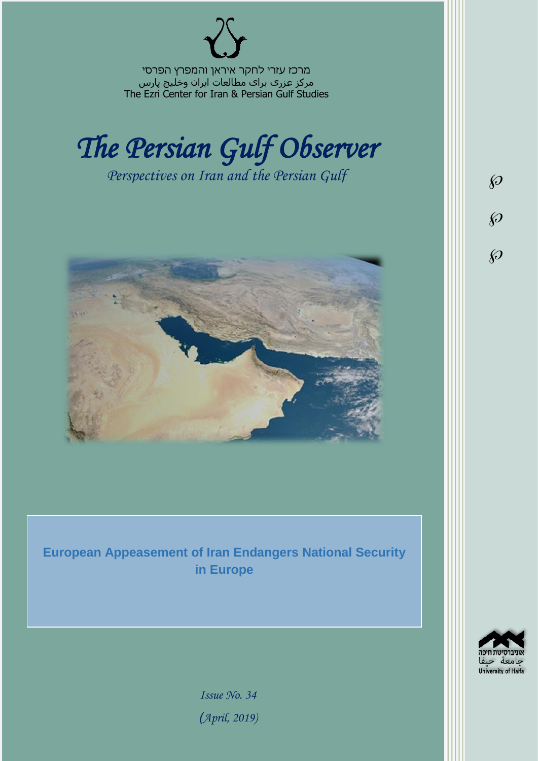מרכז עזרי לחקר איראן והמפרץ הפרסי مرکز عزری برای مطالعات ایران وخلیج پارس The Ezri Center for Iran & Persian Gulf Studies



*Perspectives on Iran and the Persian Gulf* 



**European Appeasement of Iran Endangers National Security in Europe**



 $\wp$ 

 $\wp$ 

 $\wp$ 

*Issue No. 34 )April, 2019)*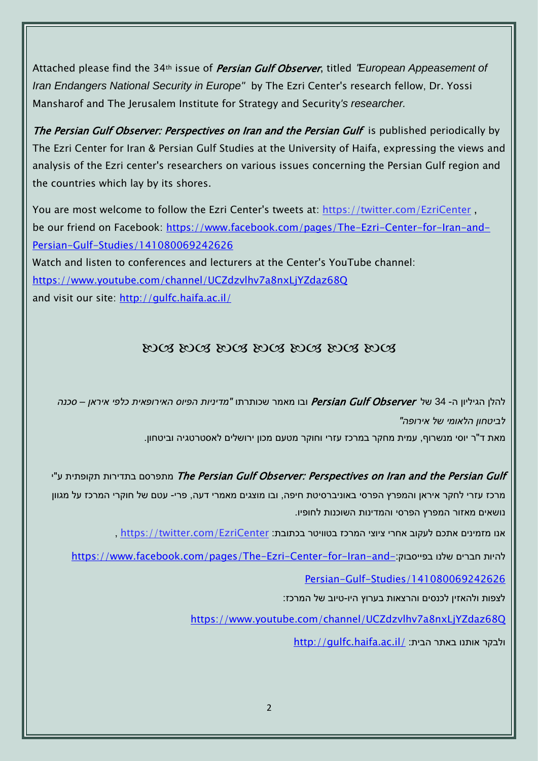Attached please find the 34th issue of Persian Gulf Observer, titled "*European Appeasement of Iran Endangers National Security in Europe"* by The Ezri Center's research fellow, Dr. Yossi Mansharof and The Jerusalem Institute for Strategy and Security*'s researcher.*

The Persian Gulf Observer: Perspectives on Iran and the Persian Gulf is published periodically by The Ezri Center for Iran & Persian Gulf Studies at the University of Haifa, expressing the views and analysis of the Ezri center's researchers on various issues concerning the Persian Gulf region and the countries which lay by its shores.

You are most welcome to follow the Ezri Center's tweets at: <https://twitter.com/EzriCenter> , be our friend on Facebook: [https://www.facebook.com/pages/The-Ezri-Center-for-Iran-and-](https://www.facebook.com/pages/The-Ezri-Center-for-Iran-and-Persian-Gulf-Studies/141080069242626)[Persian-Gulf-Studies/141080069242626](https://www.facebook.com/pages/The-Ezri-Center-for-Iran-and-Persian-Gulf-Studies/141080069242626)

Watch and listen to conferences and lecturers at the Center's YouTube channel: <https://www.youtube.com/channel/UCZdzvlhv7a8nxLjYZdaz68Q> and visit our site:<http://gulfc.haifa.ac.il/>

## DOS DOS DOS DOS DOS DOS DOS

להלן הגיליון ה- 34 של Observer Gulf Persian ובו מאמר שכותרתו *"מדיניות הפיוס האירופאית כלפי איראן – סכנה לביטחון הלאומי של אירופה"*

מאת ד"ר יוסי מנשרוף, עמית מחקר במרכז עזרי וחוקר מטעם מכון ירושלים לאסטרטגיה וביטחון.

## יתפרסם בתדירות תקופתית ע"י The Persian Gulf Observer: Perspectives on Iran and the Persian Gulf

מרכז עזרי לחקר איראן והמפרץ הפרסי באוניברסיטת חיפה, ובו מוצגים מאמרי דעה, פרי- עטם של חוקרי המרכז על מגוון נושאים מאזור המפרץ הפרסי והמדינות השוכנות לחופיו.

אנו מזמינים אתכם לעקוב אחרי ציוצי המרכז בטוויטר בכתובת: [EzriCenter/com.twitter://https](https://twitter.com/EzriCenter) ,

[https://www.facebook.com/pages/The-Ezri-Center-for-Iran-and-](https://www.facebook.com/pages/The-Ezri-Center-for-Iran-and-Persian-Gulf-Studies/141080069242626):כהיות חברים שלנו בפייסבוק

[Persian-Gulf-Studies/141080069242626](https://www.facebook.com/pages/The-Ezri-Center-for-Iran-and-Persian-Gulf-Studies/141080069242626)

לצפות ולהאזין לכנסים והרצאות בערוץ היו-טיוב של המרכז:

<https://www.youtube.com/channel/UCZdzvlhv7a8nxLjYZdaz68Q>

<http://gulfc.haifa.ac.il/> ולבקר אותנו באתר הבית: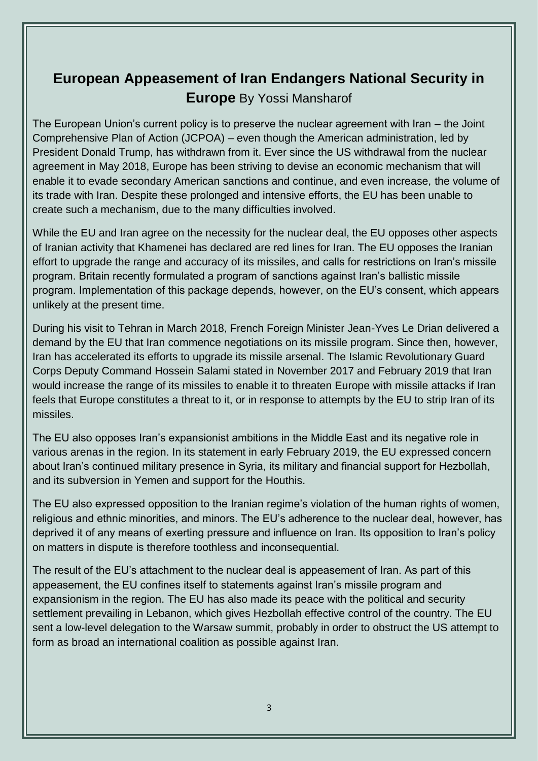## **European Appeasement of Iran Endangers National Security in Europe** By Yossi Mansharof

The European Union's current policy is to preserve the nuclear agreement with Iran – the Joint Comprehensive Plan of Action (JCPOA) – even though the American administration, led by President Donald Trump, has withdrawn from it. Ever since the US withdrawal from the nuclear agreement in May 2018, Europe has been striving to devise an economic mechanism that will enable it to evade secondary American sanctions and continue, and even increase, the volume of its trade with Iran. Despite these prolonged and intensive efforts, the EU has been unable to create such a mechanism, due to the many difficulties involved.

While the EU and Iran agree on the necessity for the nuclear deal, the EU opposes other aspects of Iranian activity that Khamenei has declared are red lines for Iran. The EU opposes the Iranian effort to upgrade the range and accuracy of its missiles, and calls for restrictions on Iran's missile program. Britain recently formulated a program of sanctions against Iran's ballistic missile program. Implementation of this package depends, however, on the EU's consent, which appears unlikely at the present time.

During his visit to Tehran in March 2018, French Foreign Minister Jean-Yves Le Drian delivered a demand by the EU that Iran commence negotiations on its missile program. Since then, however, Iran has accelerated its efforts to upgrade its missile arsenal. The Islamic Revolutionary Guard Corps Deputy Command Hossein Salami stated in November 2017 and February 2019 that Iran would increase the range of its missiles to enable it to threaten Europe with missile attacks if Iran feels that Europe constitutes a threat to it, or in response to attempts by the EU to strip Iran of its missiles.

The EU also opposes Iran's expansionist ambitions in the Middle East and its negative role in various arenas in the region. In its statement in early February 2019, the EU expressed concern about Iran's continued military presence in Syria, its military and financial support for Hezbollah, and its subversion in Yemen and support for the Houthis.

The EU also expressed opposition to the Iranian regime's violation of the human rights of women, religious and ethnic minorities, and minors. The EU's adherence to the nuclear deal, however, has deprived it of any means of exerting pressure and influence on Iran. Its opposition to Iran's policy on matters in dispute is therefore toothless and inconsequential.

The result of the EU's attachment to the nuclear deal is appeasement of Iran. As part of this appeasement, the EU confines itself to statements against Iran's missile program and expansionism in the region. The EU has also made its peace with the political and security settlement prevailing in Lebanon, which gives Hezbollah effective control of the country. The EU sent a low-level delegation to the Warsaw summit, probably in order to obstruct the US attempt to form as broad an international coalition as possible against Iran.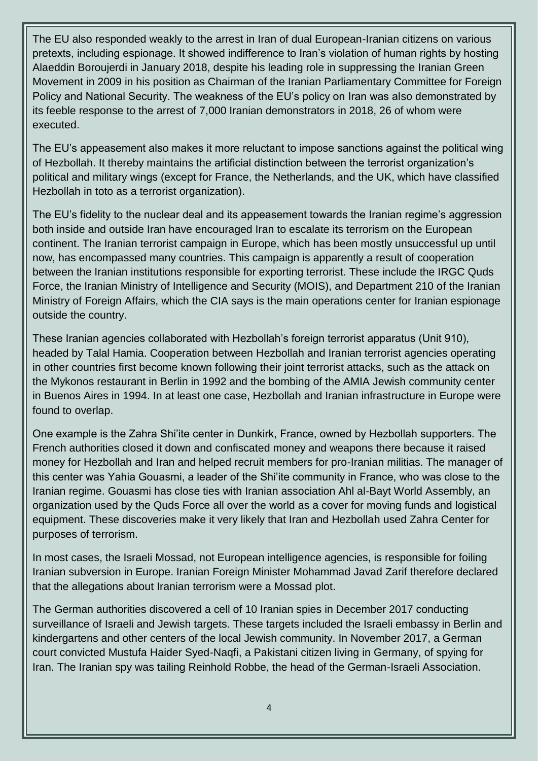The EU also responded weakly to the arrest in Iran of dual European-Iranian citizens on various pretexts, including espionage. It showed indifference to Iran's violation of human rights by hosting Alaeddin Boroujerdi in January 2018, despite his leading role in suppressing the Iranian Green Movement in 2009 in his position as Chairman of the Iranian Parliamentary Committee for Foreign Policy and National Security. The weakness of the EU's policy on Iran was also demonstrated by its feeble response to the arrest of 7,000 Iranian demonstrators in 2018, 26 of whom were executed.

The EU's appeasement also makes it more reluctant to impose sanctions against the political wing of Hezbollah. It thereby maintains the artificial distinction between the terrorist organization's political and military wings (except for France, the Netherlands, and the UK, which have classified Hezbollah in toto as a terrorist organization).

The EU's fidelity to the nuclear deal and its appeasement towards the Iranian regime's aggression both inside and outside Iran have encouraged Iran to escalate its terrorism on the European continent. The Iranian terrorist campaign in Europe, which has been mostly unsuccessful up until now, has encompassed many countries. This campaign is apparently a result of cooperation between the Iranian institutions responsible for exporting terrorist. These include the IRGC Quds Force, the Iranian Ministry of Intelligence and Security (MOIS), and Department 210 of the Iranian Ministry of Foreign Affairs, which the CIA says is the main operations center for Iranian espionage outside the country.

These Iranian agencies collaborated with Hezbollah's foreign terrorist apparatus (Unit 910), headed by Talal Hamia. Cooperation between Hezbollah and Iranian terrorist agencies operating in other countries first become known following their joint terrorist attacks, such as the attack on the Mykonos restaurant in Berlin in 1992 and the bombing of the AMIA Jewish community center in Buenos Aires in 1994. In at least one case, Hezbollah and Iranian infrastructure in Europe were found to overlap.

One example is the Zahra Shi'ite center in Dunkirk, France, owned by Hezbollah supporters. The French authorities closed it down and confiscated money and weapons there because it raised money for Hezbollah and Iran and helped recruit members for pro-Iranian militias. The manager of this center was Yahia Gouasmi, a leader of the Shi'ite community in France, who was close to the Iranian regime. Gouasmi has close ties with Iranian association Ahl al-Bayt World Assembly, an organization used by the Quds Force all over the world as a cover for moving funds and logistical equipment. These discoveries make it very likely that Iran and Hezbollah used Zahra Center for purposes of terrorism.

In most cases, the Israeli Mossad, not European intelligence agencies, is responsible for foiling Iranian subversion in Europe. Iranian Foreign Minister Mohammad Javad Zarif therefore declared that the allegations about Iranian terrorism were a Mossad plot.

The German authorities discovered a cell of 10 Iranian spies in December 2017 conducting surveillance of Israeli and Jewish targets. These targets included the Israeli embassy in Berlin and kindergartens and other centers of the local Jewish community. In November 2017, a German court convicted Mustufa Haider Syed-Naqfi, a Pakistani citizen living in Germany, of spying for Iran. The Iranian spy was tailing Reinhold Robbe, the head of the German-Israeli Association.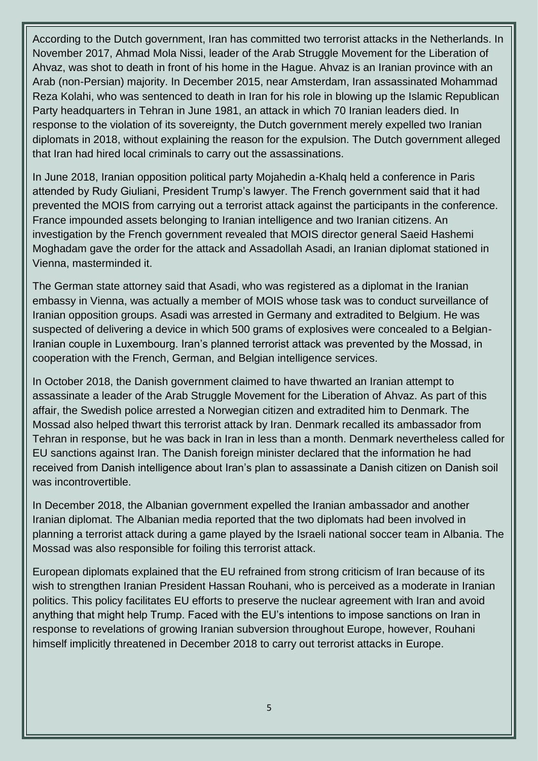According to the Dutch government, Iran has committed two terrorist attacks in the Netherlands. In November 2017, Ahmad Mola Nissi, leader of the Arab Struggle Movement for the Liberation of Ahvaz, was shot to death in front of his home in the Hague. Ahvaz is an Iranian province with an Arab (non-Persian) majority. In December 2015, near Amsterdam, Iran assassinated Mohammad Reza Kolahi, who was sentenced to death in Iran for his role in blowing up the Islamic Republican Party headquarters in Tehran in June 1981, an attack in which 70 Iranian leaders died. In response to the violation of its sovereignty, the Dutch government merely expelled two Iranian diplomats in 2018, without explaining the reason for the expulsion. The Dutch government alleged that Iran had hired local criminals to carry out the assassinations.

In June 2018, Iranian opposition political party Mojahedin a-Khalq held a conference in Paris attended by Rudy Giuliani, President Trump's lawyer. The French government said that it had prevented the MOIS from carrying out a terrorist attack against the participants in the conference. France impounded assets belonging to Iranian intelligence and two Iranian citizens. An investigation by the French government revealed that MOIS director general Saeid Hashemi Moghadam gave the order for the attack and Assadollah Asadi, an Iranian diplomat stationed in Vienna, masterminded it.

The German state attorney said that Asadi, who was registered as a diplomat in the Iranian embassy in Vienna, was actually a member of MOIS whose task was to conduct surveillance of Iranian opposition groups. Asadi was arrested in Germany and extradited to Belgium. He was suspected of delivering a device in which 500 grams of explosives were concealed to a Belgian-Iranian couple in Luxembourg. Iran's planned terrorist attack was prevented by the Mossad, in cooperation with the French, German, and Belgian intelligence services.

In October 2018, the Danish government claimed to have thwarted an Iranian attempt to assassinate a leader of the Arab Struggle Movement for the Liberation of Ahvaz. As part of this affair, the Swedish police arrested a Norwegian citizen and extradited him to Denmark. The Mossad also helped thwart this terrorist attack by Iran. Denmark recalled its ambassador from Tehran in response, but he was back in Iran in less than a month. Denmark nevertheless called for EU sanctions against Iran. The Danish foreign minister declared that the information he had received from Danish intelligence about Iran's plan to assassinate a Danish citizen on Danish soil was incontrovertible.

In December 2018, the Albanian government expelled the Iranian ambassador and another Iranian diplomat. The Albanian media reported that the two diplomats had been involved in planning a terrorist attack during a game played by the Israeli national soccer team in Albania. The Mossad was also responsible for foiling this terrorist attack.

European diplomats explained that the EU refrained from strong criticism of Iran because of its wish to strengthen Iranian President Hassan Rouhani, who is perceived as a moderate in Iranian politics. This policy facilitates EU efforts to preserve the nuclear agreement with Iran and avoid anything that might help Trump. Faced with the EU's intentions to impose sanctions on Iran in response to revelations of growing Iranian subversion throughout Europe, however, Rouhani himself implicitly threatened in December 2018 to carry out terrorist attacks in Europe.